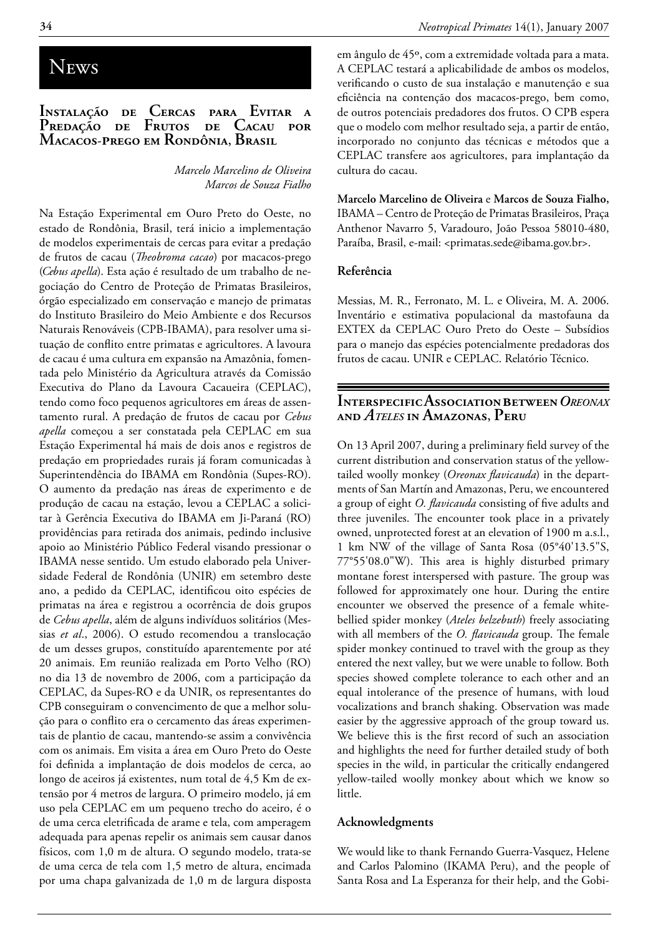# **NEWS**

## **Instalação de Cercas para Evitar a Predação de Frutos de Cacau por Macacos-prego em Rondônia, Brasil**

*Marcelo Marcelino de Oliveira Marcos de Souza Fialho*

Na Estação Experimental em Ouro Preto do Oeste, no estado de Rondônia, Brasil, terá inicio a implementação de modelos experimentais de cercas para evitar a predação de frutos de cacau (*Theobroma cacao*) por macacos-prego (*Cebus apella*). Esta ação é resultado de um trabalho de negociação do Centro de Proteção de Primatas Brasileiros, órgão especializado em conservação e manejo de primatas do Instituto Brasileiro do Meio Ambiente e dos Recursos Naturais Renováveis (CPB-IBAMA), para resolver uma situação de conflito entre primatas e agricultores. A lavoura de cacau é uma cultura em expansão na Amazônia, fomentada pelo Ministério da Agricultura através da Comissão Executiva do Plano da Lavoura Cacaueira (CEPLAC), tendo como foco pequenos agricultores em áreas de assentamento rural. A predação de frutos de cacau por *Cebus apella* começou a ser constatada pela CEPLAC em sua Estação Experimental há mais de dois anos e registros de predação em propriedades rurais já foram comunicadas à Superintendência do IBAMA em Rondônia (Supes-RO). O aumento da predação nas áreas de experimento e de produção de cacau na estação, levou a CEPLAC a solicitar à Gerência Executiva do IBAMA em Ji-Paraná (RO) providências para retirada dos animais, pedindo inclusive apoio ao Ministério Público Federal visando pressionar o IBAMA nesse sentido. Um estudo elaborado pela Universidade Federal de Rondônia (UNIR) em setembro deste ano, a pedido da CEPLAC, identificou oito espécies de primatas na área e registrou a ocorrência de dois grupos de *Cebus apella*, além de alguns indivíduos solitários (Messias *et al*., 2006). O estudo recomendou a translocação de um desses grupos, constituído aparentemente por até 20 animais. Em reunião realizada em Porto Velho (RO) no dia 13 de novembro de 2006, com a participação da CEPLAC, da Supes-RO e da UNIR, os representantes do CPB conseguiram o convencimento de que a melhor solução para o conflito era o cercamento das áreas experimentais de plantio de cacau, mantendo-se assim a convivência com os animais. Em visita a área em Ouro Preto do Oeste foi definida a implantação de dois modelos de cerca, ao longo de aceiros já existentes, num total de 4,5 Km de extensão por 4 metros de largura. O primeiro modelo, já em uso pela CEPLAC em um pequeno trecho do aceiro, é o de uma cerca eletrificada de arame e tela, com amperagem adequada para apenas repelir os animais sem causar danos físicos, com 1,0 m de altura. O segundo modelo, trata-se de uma cerca de tela com 1,5 metro de altura, encimada por uma chapa galvanizada de 1,0 m de largura disposta em ângulo de 45º, com a extremidade voltada para a mata. A CEPLAC testará a aplicabilidade de ambos os modelos, verificando o custo de sua instalação e manutenção e sua eficiência na contenção dos macacos-prego, bem como, de outros potenciais predadores dos frutos. O CPB espera que o modelo com melhor resultado seja, a partir de então, incorporado no conjunto das técnicas e métodos que a CEPLAC transfere aos agricultores, para implantação da cultura do cacau.

**Marcelo Marcelino de Oliveira** e **Marcos de Souza Fialho,**  IBAMA – Centro de Proteção de Primatas Brasileiros, Praça Anthenor Navarro 5, Varadouro, João Pessoa 58010-480, Paraíba, Brasil, e-mail: <primatas.sede@ibama.gov.br>.

#### **Referência**

Messias, M. R., Ferronato, M. L. e Oliveira, M. A. 2006. Inventário e estimativa populacional da mastofauna da EXTEX da CEPLAC Ouro Preto do Oeste – Subsídios para o manejo das espécies potencialmente predadoras dos frutos de cacau. UNIR e CEPLAC. Relatório Técnico.

## **InterspecificAssociationbetween***Oreonax* **and** *Ateles* **in Amazonas, Peru**

On 13 April 2007, during a preliminary field survey of the current distribution and conservation status of the yellowtailed woolly monkey (*Oreonax flavicauda*) in the departments of San Martín and Amazonas, Peru, we encountered a group of eight *O. flavicauda* consisting of five adults and three juveniles. The encounter took place in a privately owned, unprotected forest at an elevation of 1900 m a.s.l., 1 km NW of the village of Santa Rosa (05°40'13.5"S, 77°55'08.0"W). This area is highly disturbed primary montane forest interspersed with pasture. The group was followed for approximately one hour. During the entire encounter we observed the presence of a female whitebellied spider monkey (*Ateles belzebuth*) freely associating with all members of the *O. flavicauda* group. The female spider monkey continued to travel with the group as they entered the next valley, but we were unable to follow. Both species showed complete tolerance to each other and an equal intolerance of the presence of humans, with loud vocalizations and branch shaking. Observation was made easier by the aggressive approach of the group toward us. We believe this is the first record of such an association and highlights the need for further detailed study of both species in the wild, in particular the critically endangered yellow-tailed woolly monkey about which we know so little.

#### **Acknowledgments**

We would like to thank Fernando Guerra-Vasquez, Helene and Carlos Palomino (IKAMA Peru), and the people of Santa Rosa and La Esperanza for their help, and the Gobi